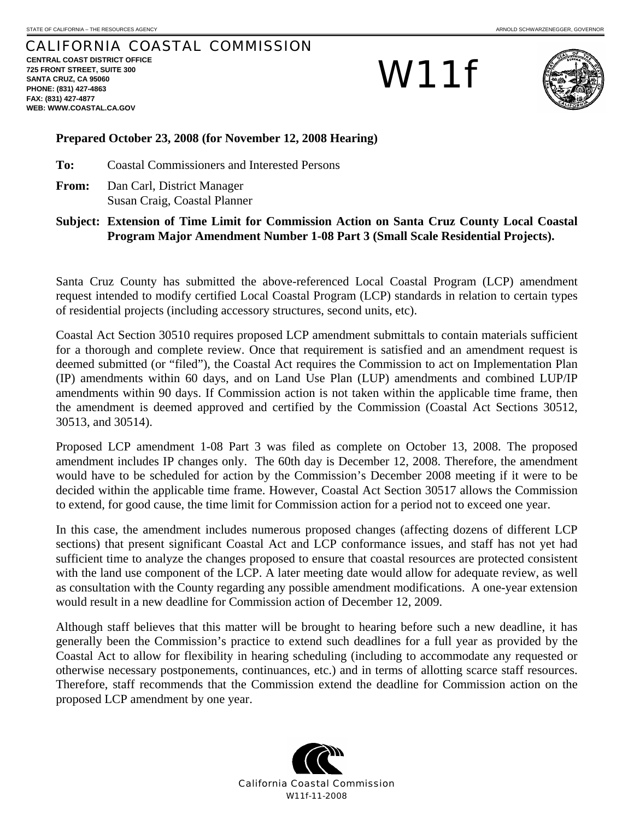## CALIFORNIA COASTAL COMMISSION

**CENTRAL COAST DISTRICT OFFICE 725 FRONT STREET, SUITE 300 SANTA CRUZ, CA 95060 PHONE: (831) 427-4863 FAX: (831) 427-4877 WEB: WWW.COASTAL.CA.GOV**

W11f



## **Prepared October 23, 2008 (for November 12, 2008 Hearing)**

**To:** Coastal Commissioners and Interested Persons

**From:** Dan Carl, District Manager Susan Craig, Coastal Planner

**Subject: Extension of Time Limit for Commission Action on Santa Cruz County Local Coastal Program Major Amendment Number 1-08 Part 3 (Small Scale Residential Projects).** 

Santa Cruz County has submitted the above-referenced Local Coastal Program (LCP) amendment request intended to modify certified Local Coastal Program (LCP) standards in relation to certain types of residential projects (including accessory structures, second units, etc).

Coastal Act Section 30510 requires proposed LCP amendment submittals to contain materials sufficient for a thorough and complete review. Once that requirement is satisfied and an amendment request is deemed submitted (or "filed"), the Coastal Act requires the Commission to act on Implementation Plan (IP) amendments within 60 days, and on Land Use Plan (LUP) amendments and combined LUP/IP amendments within 90 days. If Commission action is not taken within the applicable time frame, then the amendment is deemed approved and certified by the Commission (Coastal Act Sections 30512, 30513, and 30514).

Proposed LCP amendment 1-08 Part 3 was filed as complete on October 13, 2008. The proposed amendment includes IP changes only. The 60th day is December 12, 2008. Therefore, the amendment would have to be scheduled for action by the Commission's December 2008 meeting if it were to be decided within the applicable time frame. However, Coastal Act Section 30517 allows the Commission to extend, for good cause, the time limit for Commission action for a period not to exceed one year.

In this case, the amendment includes numerous proposed changes (affecting dozens of different LCP sections) that present significant Coastal Act and LCP conformance issues, and staff has not yet had sufficient time to analyze the changes proposed to ensure that coastal resources are protected consistent with the land use component of the LCP. A later meeting date would allow for adequate review, as well as consultation with the County regarding any possible amendment modifications. A one-year extension would result in a new deadline for Commission action of December 12, 2009.

Although staff believes that this matter will be brought to hearing before such a new deadline, it has generally been the Commission's practice to extend such deadlines for a full year as provided by the Coastal Act to allow for flexibility in hearing scheduling (including to accommodate any requested or otherwise necessary postponements, continuances, etc.) and in terms of allotting scarce staff resources. Therefore, staff recommends that the Commission extend the deadline for Commission action on the proposed LCP amendment by one year.